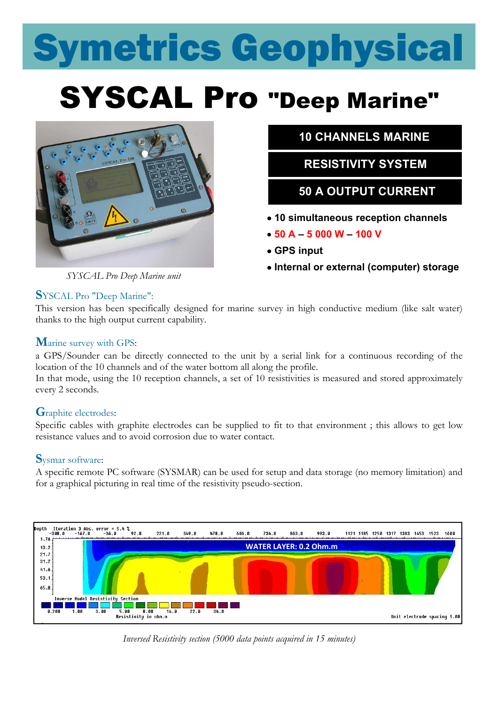# Symetrics Geophysical

## SYSCAL Pro "Deep Marine"



 **10 CHANNELS MARINE**

 **RESISTIVITY SYSTEM**

### **50 A OUTPUT CURRENT**

- **10 simultaneous reception channels**
- **50 A – 5 000 W – 100 V**
- **GPS input**
- **Internal or external (computer) storage**

*SYSCAL Pro Deep Marine unit*

### **S**YSCAL Pro "Deep Marine":

This version has been specifically designed for marine survey in high conductive medium (like salt water) thanks to the high output current capability.

### **M**arine survey with GPS:

a GPS/Sounder can be directly connected to the unit by a serial link for a continuous recording of the location of the 10 channels and of the water bottom all along the profile.

In that mode, using the 10 reception channels, a set of 10 resistivities is measured and stored approximately every 2 seconds.

### **G**raphite electrodes:

Specific cables with graphite electrodes can be supplied to fit to that environment ; this allows to get low resistance values and to avoid corrosion due to water contact.

### **S**ysmar software:

A specific remote PC software (SYSMAR) can be used for setup and data storage (no memory limitation) and for a graphical picturing in real time of the resistivity pseudo-section.



*Inversed Resistivity section (5000 data points acquired in 15 minutes)*